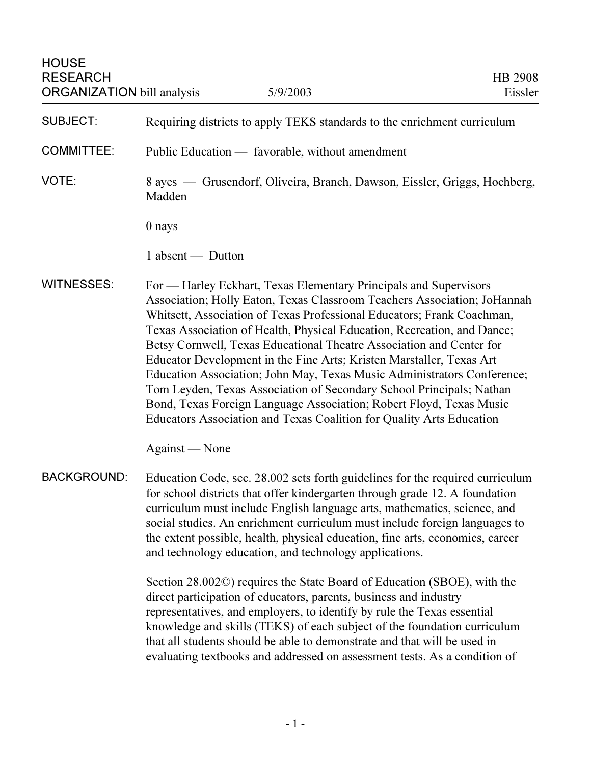| <b>HOUSE</b><br><b>RESEARCH</b><br><b>ORGANIZATION</b> bill analysis | 5/9/2003                                                                                                                                                                                                                                                                                                                                                                                                                                                                                                                                                                                                                                                                                                                                             | HB 2908<br>Eissler |
|----------------------------------------------------------------------|------------------------------------------------------------------------------------------------------------------------------------------------------------------------------------------------------------------------------------------------------------------------------------------------------------------------------------------------------------------------------------------------------------------------------------------------------------------------------------------------------------------------------------------------------------------------------------------------------------------------------------------------------------------------------------------------------------------------------------------------------|--------------------|
| <b>SUBJECT:</b>                                                      | Requiring districts to apply TEKS standards to the enrichment curriculum                                                                                                                                                                                                                                                                                                                                                                                                                                                                                                                                                                                                                                                                             |                    |
| <b>COMMITTEE:</b>                                                    | Public Education — favorable, without amendment                                                                                                                                                                                                                                                                                                                                                                                                                                                                                                                                                                                                                                                                                                      |                    |
| VOTE:                                                                | 8 ayes — Grusendorf, Oliveira, Branch, Dawson, Eissler, Griggs, Hochberg,<br>Madden                                                                                                                                                                                                                                                                                                                                                                                                                                                                                                                                                                                                                                                                  |                    |
|                                                                      | 0 nays                                                                                                                                                                                                                                                                                                                                                                                                                                                                                                                                                                                                                                                                                                                                               |                    |
|                                                                      | 1 absent — Dutton                                                                                                                                                                                                                                                                                                                                                                                                                                                                                                                                                                                                                                                                                                                                    |                    |
| <b>WITNESSES:</b>                                                    | For — Harley Eckhart, Texas Elementary Principals and Supervisors<br>Association; Holly Eaton, Texas Classroom Teachers Association; JoHannah<br>Whitsett, Association of Texas Professional Educators; Frank Coachman,<br>Texas Association of Health, Physical Education, Recreation, and Dance;<br>Betsy Cornwell, Texas Educational Theatre Association and Center for<br>Educator Development in the Fine Arts; Kristen Marstaller, Texas Art<br>Education Association; John May, Texas Music Administrators Conference;<br>Tom Leyden, Texas Association of Secondary School Principals; Nathan<br>Bond, Texas Foreign Language Association; Robert Floyd, Texas Music<br>Educators Association and Texas Coalition for Quality Arts Education |                    |
|                                                                      | Against — None                                                                                                                                                                                                                                                                                                                                                                                                                                                                                                                                                                                                                                                                                                                                       |                    |
| <b>BACKGROUND:</b>                                                   | Education Code, sec. 28.002 sets forth guidelines for the required curriculum<br>for school districts that offer kindergarten through grade 12. A foundation<br>curriculum must include English language arts, mathematics, science, and<br>social studies. An enrichment curriculum must include foreign languages to<br>the extent possible, health, physical education, fine arts, economics, career<br>and technology education, and technology applications.                                                                                                                                                                                                                                                                                    |                    |
|                                                                      | Section 28.002C) requires the State Board of Education (SBOE), with the<br>direct participation of educators, parents, business and industry<br>representatives, and employers, to identify by rule the Texas essential<br>knowledge and skills (TEKS) of each subject of the foundation curriculum<br>that all students should be able to demonstrate and that will be used in<br>evaluating textbooks and addressed on assessment tests. As a condition of                                                                                                                                                                                                                                                                                         |                    |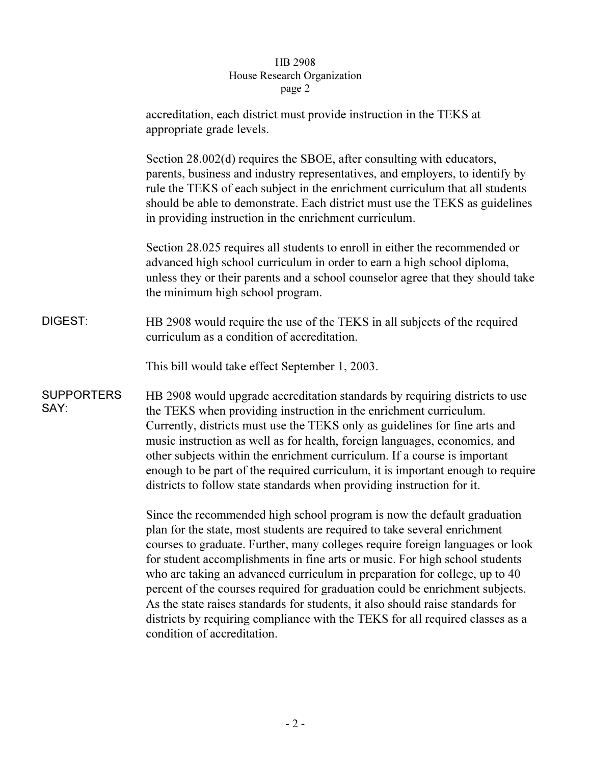## $_{\rm search}$  Or  $\frac{1}{\sqrt{1-\frac{1}{\sqrt{1-\frac{1}{\sqrt{1-\frac{1}{\sqrt{1-\frac{1}{\sqrt{1-\frac{1}{\sqrt{1-\frac{1}{\sqrt{1-\frac{1}{\sqrt{1-\frac{1}{\sqrt{1-\frac{1}{\sqrt{1-\frac{1}{\sqrt{1-\frac{1}{\sqrt{1-\frac{1}{\sqrt{1-\frac{1}{\sqrt{1-\frac{1}{\sqrt{1-\frac{1}{\sqrt{1-\frac{1}{\sqrt{1-\frac{1}{\sqrt{1-\frac{1}{\sqrt{1-\frac{1}{\sqrt{1-\frac{1}{\sqrt{1-\frac{1}{\sqrt{1-\frac{1}{\sqrt{1-\frac{1}{\sqrt{1-\frac{1$

|                           | accreditation, each district must provide instruction in the TEKS at<br>appropriate grade levels.                                                                                                                                                                                                                                                                                                                                                                                                                                                                                                                                                                                    |
|---------------------------|--------------------------------------------------------------------------------------------------------------------------------------------------------------------------------------------------------------------------------------------------------------------------------------------------------------------------------------------------------------------------------------------------------------------------------------------------------------------------------------------------------------------------------------------------------------------------------------------------------------------------------------------------------------------------------------|
|                           | Section 28.002(d) requires the SBOE, after consulting with educators,<br>parents, business and industry representatives, and employers, to identify by<br>rule the TEKS of each subject in the enrichment curriculum that all students<br>should be able to demonstrate. Each district must use the TEKS as guidelines<br>in providing instruction in the enrichment curriculum.                                                                                                                                                                                                                                                                                                     |
|                           | Section 28.025 requires all students to enroll in either the recommended or<br>advanced high school curriculum in order to earn a high school diploma,<br>unless they or their parents and a school counselor agree that they should take<br>the minimum high school program.                                                                                                                                                                                                                                                                                                                                                                                                        |
| DIGEST:                   | HB 2908 would require the use of the TEKS in all subjects of the required<br>curriculum as a condition of accreditation.                                                                                                                                                                                                                                                                                                                                                                                                                                                                                                                                                             |
|                           | This bill would take effect September 1, 2003.                                                                                                                                                                                                                                                                                                                                                                                                                                                                                                                                                                                                                                       |
| <b>SUPPORTERS</b><br>SAY: | HB 2908 would upgrade accreditation standards by requiring districts to use<br>the TEKS when providing instruction in the enrichment curriculum.<br>Currently, districts must use the TEKS only as guidelines for fine arts and<br>music instruction as well as for health, foreign languages, economics, and<br>other subjects within the enrichment curriculum. If a course is important<br>enough to be part of the required curriculum, it is important enough to require<br>districts to follow state standards when providing instruction for it.                                                                                                                              |
|                           | Since the recommended high school program is now the default graduation<br>plan for the state, most students are required to take several enrichment<br>courses to graduate. Further, many colleges require foreign languages or look<br>for student accomplishments in fine arts or music. For high school students<br>who are taking an advanced curriculum in preparation for college, up to 40<br>percent of the courses required for graduation could be enrichment subjects.<br>As the state raises standards for students, it also should raise standards for<br>districts by requiring compliance with the TEKS for all required classes as a<br>condition of accreditation. |